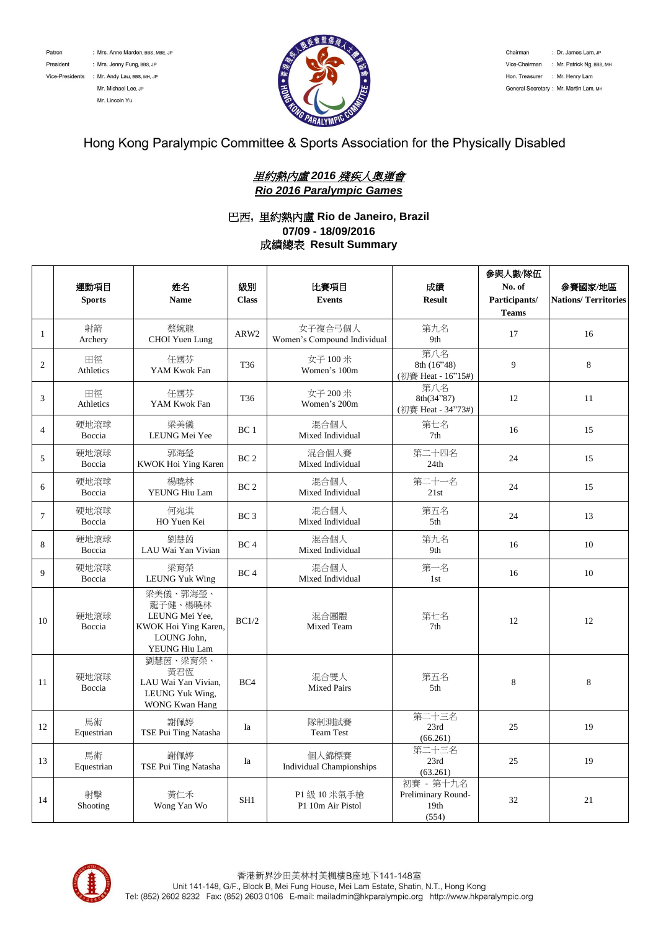Patron President

: Mrs. Anne Marden, BBS, MBE, JP : Mrs. Jenny Fung, BBS, JP Vice-Presidents : Mr. Andy Lau, BBS, MH, JP

Mr. Michael Lee, JP Mr. Lincoln Yu



Chairman : Dr. James Lam, JP Vice-Chairman : Mr. Patrick Ng, BBS, MH Hon. Treasurer : Mr. Henry Lam General Secretary : Mr. Martin Lam, MH

## Hong Kong Paralympic Committee & Sports Association for the Physically Disabled

### 里約熱內盧 *2016* 殘疾人奧運會 *Rio 2016 Paralympic Games*

#### 巴西**,** 里約熱內盧 **Rio de Janeiro, Brazil 07/09 - 18/09/2016** 成績總表 **Result Summary**

|                  |                       |                                                                                               |                 |                                          |                                                  | 参與人數/隊伍       |                            |
|------------------|-----------------------|-----------------------------------------------------------------------------------------------|-----------------|------------------------------------------|--------------------------------------------------|---------------|----------------------------|
|                  | 運動項目                  | 姓名                                                                                            | 級別              | 比賽項目                                     | 成績                                               | No. of        | 参賽國家/地區                    |
|                  | <b>Sports</b>         | <b>Name</b>                                                                                   | <b>Class</b>    | <b>Events</b>                            | <b>Result</b>                                    | Participants/ | <b>Nations/Territories</b> |
|                  |                       |                                                                                               |                 |                                          |                                                  | <b>Teams</b>  |                            |
| $\mathbf{1}$     | 射箭<br>Archery         | 蔡婉龍<br><b>CHOI</b> Yuen Lung                                                                  | ARW2            | 女子複合弓個人<br>Women's Compound Individual   | 第九名<br>9th                                       | 17            | 16                         |
| $\boldsymbol{2}$ | 田徑<br>Athletics       | 任國芬<br>YAM Kwok Fan                                                                           | T <sub>36</sub> | 女子 100 米<br>Women's 100m                 | 第八名<br>8th (16"48)<br>(初賽 Heat - 16"15#)         | 9             | 8                          |
| 3                | 田徑<br>Athletics       | 任國芬<br>YAM Kwok Fan                                                                           | T <sub>36</sub> | 女子 200 米<br>Women's 200m                 | 第八名<br>8th(34"87)<br>(初賽 Heat - 34"73#)          | 12            | 11                         |
| $\overline{4}$   | 硬地滾球<br>Boccia        | 梁美儀<br>LEUNG Mei Yee                                                                          | BC1             | 混合個人<br>Mixed Individual                 | 第七名<br>7 <sub>th</sub>                           | 16            | 15                         |
| 5                | 硬地滾球<br>Boccia        | 郭海瑩<br>KWOK Hoi Ying Karen                                                                    | BC <sub>2</sub> | 混合個人賽<br>Mixed Individual                | 第二十四名<br>24th                                    | 24            | 15                         |
| 6                | 硬地滾球<br>Boccia        | 楊曉林<br>YEUNG Hiu Lam                                                                          | BC <sub>2</sub> | 混合個人<br>Mixed Individual                 | 第二十一名<br>21st                                    | 24            | 15                         |
| $\tau$           | 硬地滾球<br>Boccia        | 何宛淇<br>HO Yuen Kei                                                                            | BC <sub>3</sub> | 混合個人<br>Mixed Individual                 | 第五名<br>5th                                       | 24            | 13                         |
| 8                | 硬地滾球<br>Boccia        | 劉慧茵<br>LAU Wai Yan Vivian                                                                     | BC <sub>4</sub> | 混合個人<br>Mixed Individual                 | 第九名<br>9th                                       | 16            | 10                         |
| $\mathbf{Q}$     | 硬地滾球<br>Boccia        | 梁育榮<br><b>LEUNG Yuk Wing</b>                                                                  | BC <sub>4</sub> | 混合個人<br>Mixed Individual                 | 第一名<br>1st                                       | 16            | 10                         |
| 10               | 硬地滾球<br>Boccia        | 梁美儀、郭海瑩、<br>龍子健、楊曉林<br>LEUNG Mei Yee,<br>KWOK Hoi Ying Karen,<br>LOUNG John,<br>YEUNG Hiu Lam | BC1/2           | 混合團體<br><b>Mixed Team</b>                | 第七名<br>7 <sub>th</sub>                           | 12            | 12                         |
| 11               | 硬地滾球<br><b>Boccia</b> | 劉慧茵、梁育榮、<br>黃君恆<br>LAU Wai Yan Vivian,<br>LEUNG Yuk Wing,<br><b>WONG Kwan Hang</b>            | BC4             | 混合雙人<br><b>Mixed Pairs</b>               | 第五名<br>5th                                       | 8             | 8                          |
| 12               | 馬術<br>Equestrian      | 謝佩婷<br>TSE Pui Ting Natasha                                                                   | Ia              | 隊制測試賽<br><b>Team Test</b>                | 第二十三名<br>23rd<br>(66.261)                        | 25            | 19                         |
| 13               | 馬術<br>Equestrian      | 謝佩婷<br>TSE Pui Ting Natasha                                                                   | Ia              | 個人錦標賽<br><b>Individual Championships</b> | 第二十三名<br>23rd<br>(63.261)                        | 25            | 19                         |
| 14               | 射擊<br>Shooting        | 黃仁禾<br>Wong Yan Wo                                                                            | SH1             | P1 級 10 米氣手槍<br>P1 10m Air Pistol        | 初賽 - 第十九名<br>Preliminary Round-<br>19th<br>(554) | 32            | 21                         |

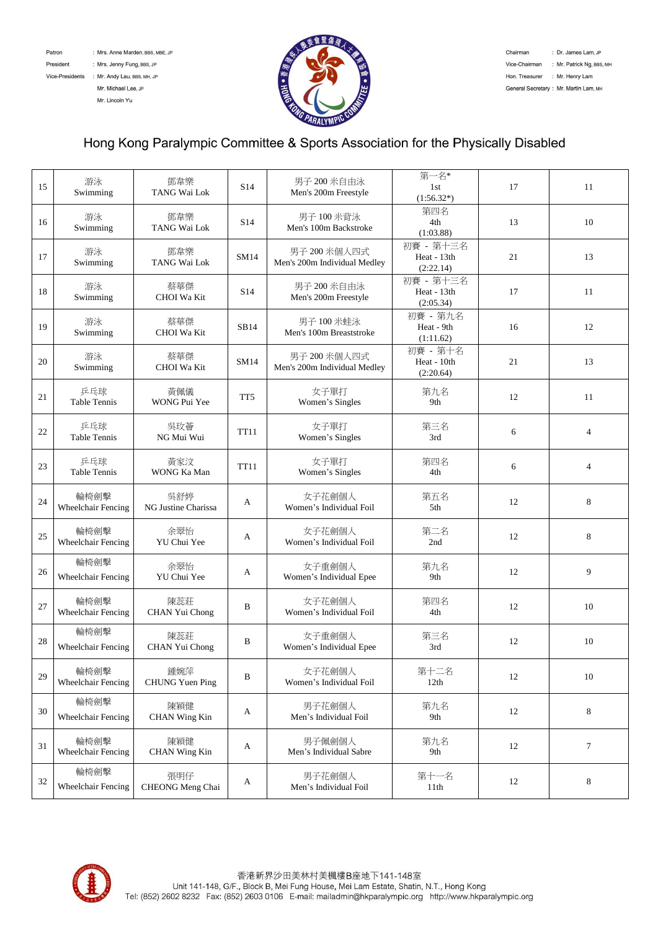Patron

: Mrs. Anne Marden, BBS, MBE, JP

President : Mrs. Jenny Fung, BBS, JP

Vice-Presidents : Mr. Andy Lau, BBS, MH, JP Mr. Michael Lee, JP

Mr. Lincoln Yu



Chairman : Dr. James Lam, JP Vice-Chairman : Mr. Patrick Ng, BBS, MH Hon. Treasurer : Mr. Henry Lam General Secretary : Mr. Martin Lam, MH

# Hong Kong Paralympic Committee & Sports Association for the Physically Disabled

| 15 | 游泳<br>Swimming                    | 鄧韋樂<br>TANG Wai Lok           | S <sub>14</sub> | 男子 200 米自由泳<br>Men's 200m Freestyle          | 第一名*<br>1st<br>$(1:56.32*)$           | 17 | 11             |
|----|-----------------------------------|-------------------------------|-----------------|----------------------------------------------|---------------------------------------|----|----------------|
| 16 | 游泳<br>Swimming                    | 鄧韋樂<br>TANG Wai Lok           | S <sub>14</sub> | 男子 100 米背泳<br>Men's 100m Backstroke          | 第四名<br>4th<br>(1:03.88)               | 13 | 10             |
| 17 | 游泳<br>Swimming                    | 鄧韋樂<br>TANG Wai Lok           | SM14            | 男子 200 米個人四式<br>Men's 200m Individual Medley | 初賽 - 第十三名<br>Heat - 13th<br>(2:22.14) | 21 | 13             |
| 18 | 游泳<br>Swimming                    | 蔡華傑<br>CHOI Wa Kit            | S <sub>14</sub> | 男子 200 米自由泳<br>Men's 200m Freestyle          | 初賽 - 第十三名<br>Heat - 13th<br>(2:05.34) | 17 | 11             |
| 19 | 游泳<br>Swimming                    | 蔡華傑<br>CHOI Wa Kit            | SB14            | 男子 100 米蛙泳<br>Men's 100m Breaststroke        | 初賽 - 第九名<br>Heat - 9th<br>(1:11.62)   | 16 | 12             |
| 20 | 游泳<br>Swimming                    | 蔡華傑<br>CHOI Wa Kit            | SM14            | 男子 200 米個人四式<br>Men's 200m Individual Medley | 初賽 - 第十名<br>Heat - 10th<br>(2:20.64)  | 21 | 13             |
| 21 | 乒乓球<br>Table Tennis               | 黃佩儀<br>WONG Pui Yee           | TT <sub>5</sub> | 女子單打<br>Women's Singles                      | 第九名<br>9th                            | 12 | 11             |
| 22 | 乒乓球<br><b>Table Tennis</b>        | 吳玫薈<br>NG Mui Wui             | <b>TT11</b>     | 女子單打<br>Women's Singles                      | 第三名<br>3rd                            | 6  | $\overline{4}$ |
| 23 | 乒乓球<br><b>Table Tennis</b>        | 黃家汶<br>WONG Ka Man            | <b>TT11</b>     | 女子單打<br>Women's Singles                      | 第四名<br>4th                            | 6  | $\overline{4}$ |
| 24 | 輪椅劍擊<br>Wheelchair Fencing        | 吳舒婷<br>NG Justine Charissa    | A               | 女子花劍個人<br>Women's Individual Foil            | 第五名<br>5th                            | 12 | 8              |
| 25 | 輪椅劍擊<br>Wheelchair Fencing        | 余翠怡<br>YU Chui Yee            | A               | 女子花劍個人<br>Women's Individual Foil            | 第二名<br>2nd                            | 12 | 8              |
| 26 | 輪椅劍擊<br>Wheelchair Fencing        | 余翠怡<br>YU Chui Yee            | A               | 女子重劍個人<br>Women's Individual Epee            | 第九名<br>9th                            | 12 | 9              |
| 27 | 輪椅劍擊<br>Wheelchair Fencing        | 陳蕊莊<br>CHAN Yui Chong         | B               | 女子花劍個人<br>Women's Individual Foil            | 第四名<br>4th                            | 12 | 10             |
| 28 | 輪椅劍擊<br>Wheelchair Fencing        | 陳蕊莊<br>CHAN Yui Chong         | B               | 女子重劍個人<br>Women's Individual Epee            | 第三名<br>3rd                            | 12 | 10             |
| 29 | 輪椅劍擊<br>Wheelchair Fencing        | 鍾婉萍<br><b>CHUNG Yuen Ping</b> | B               | 女子花劍個人<br>Women's Individual Foil            | 第十二名<br>12th                          | 12 | 10             |
| 30 | 輪椅劍擊<br>Wheelchair Fencing        | 陳穎健<br><b>CHAN Wing Kin</b>   | A               | 男子花劍個人<br>Men's Individual Foil              | 第九名<br>9th                            | 12 | 8              |
| 31 | 輪椅劍擊<br>Wheelchair Fencing        | 陳穎健<br>CHAN Wing Kin          | A               | 男子佩劍個人<br>Men's Individual Sabre             | 第九名<br>9th                            | 12 | $\tau$         |
| 32 | 輪椅劍擊<br><b>Wheelchair Fencing</b> | 張明仔<br>CHEONG Meng Chai       | A               | 男子花劍個人<br>Men's Individual Foil              | 第十一名<br>11th                          | 12 | 8              |